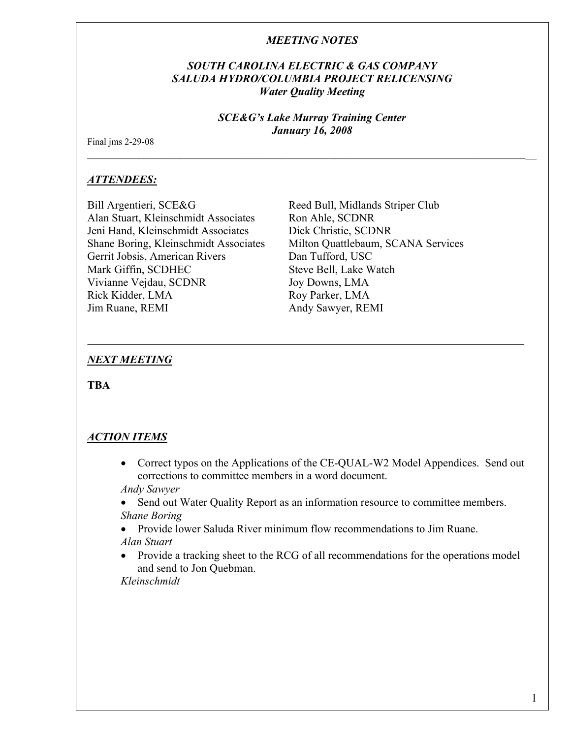### *SOUTH CAROLINA ELECTRIC & GAS COMPANY SALUDA HYDRO/COLUMBIA PROJECT RELICENSING Water Quality Meeting*

#### *SCE&G's Lake Murray Training Center January 16, 2008*

\_\_\_\_\_\_\_\_\_\_\_\_\_\_\_\_\_\_\_\_\_\_\_\_\_\_\_\_\_\_\_\_\_\_\_\_\_\_\_\_\_\_\_\_\_\_\_\_\_\_\_\_\_\_\_\_\_\_\_\_\_\_\_\_\_\_\_\_\_\_\_\_\_\_\_\_\_\_\_\_\_\_\_\_\_\_\_\_\_\_\_\_\_\_\_\_

Final jms 2-29-08

### *ATTENDEES:*

Bill Argentieri, SCE&G Reed Bull, Midlands Striper Club Alan Stuart, Kleinschmidt Associates Ron Ahle, SCDNR Jeni Hand, Kleinschmidt Associates Dick Christie, SCDNR Shane Boring, Kleinschmidt Associates Milton Quattlebaum, SCANA Services Gerrit Jobsis, American Rivers Dan Tufford, USC Mark Giffin, SCDHEC Steve Bell, Lake Watch Vivianne Vejdau, SCDNR Joy Downs, LMA Rick Kidder, LMA Roy Parker, LMA Jim Ruane, REMI Andy Sawyer, REMI

### *NEXT MEETING*

**TBA** 

# *ACTION ITEMS*

• Correct typos on the Applications of the CE-QUAL-W2 Model Appendices. Send out corrections to committee members in a word document.

*Andy Sawyer* 

- Send out Water Quality Report as an information resource to committee members. *Shane Boring*
- Provide lower Saluda River minimum flow recommendations to Jim Ruane. *Alan Stuart*
- Provide a tracking sheet to the RCG of all recommendations for the operations model and send to Jon Quebman.

*Kleinschmidt*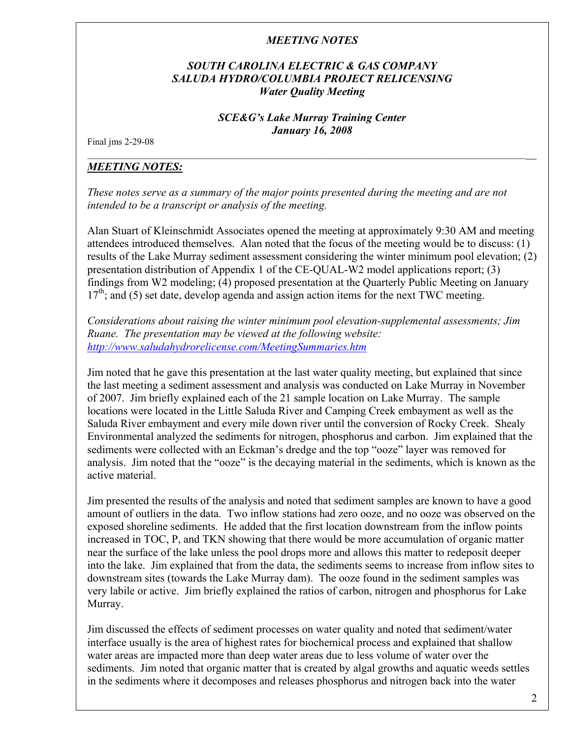### *SOUTH CAROLINA ELECTRIC & GAS COMPANY SALUDA HYDRO/COLUMBIA PROJECT RELICENSING Water Quality Meeting*

### *SCE&G's Lake Murray Training Center January 16, 2008*

\_\_\_\_\_\_\_\_\_\_\_\_\_\_\_\_\_\_\_\_\_\_\_\_\_\_\_\_\_\_\_\_\_\_\_\_\_\_\_\_\_\_\_\_\_\_\_\_\_\_\_\_\_\_\_\_\_\_\_\_\_\_\_\_\_\_\_\_\_\_\_\_\_\_\_\_\_\_\_\_\_\_\_\_\_\_\_\_\_\_\_\_\_\_\_\_

Final jms 2-29-08

# *MEETING NOTES:*

*These notes serve as a summary of the major points presented during the meeting and are not intended to be a transcript or analysis of the meeting.* 

Alan Stuart of Kleinschmidt Associates opened the meeting at approximately 9:30 AM and meeting attendees introduced themselves. Alan noted that the focus of the meeting would be to discuss: (1) results of the Lake Murray sediment assessment considering the winter minimum pool elevation; (2) presentation distribution of Appendix 1 of the CE-QUAL-W2 model applications report; (3) findings from W2 modeling; (4) proposed presentation at the Quarterly Public Meeting on January  $17<sup>th</sup>$ ; and (5) set date, develop agenda and assign action items for the next TWC meeting.

*Considerations about raising the winter minimum pool elevation-supplemental assessments; Jim Ruane. The presentation may be viewed at the following website: http://www.saludahydrorelicense.com/MeetingSummaries.htm*

Jim noted that he gave this presentation at the last water quality meeting, but explained that since the last meeting a sediment assessment and analysis was conducted on Lake Murray in November of 2007. Jim briefly explained each of the 21 sample location on Lake Murray. The sample locations were located in the Little Saluda River and Camping Creek embayment as well as the Saluda River embayment and every mile down river until the conversion of Rocky Creek. Shealy Environmental analyzed the sediments for nitrogen, phosphorus and carbon. Jim explained that the sediments were collected with an Eckman's dredge and the top "ooze" layer was removed for analysis. Jim noted that the "ooze" is the decaying material in the sediments, which is known as the active material.

Jim presented the results of the analysis and noted that sediment samples are known to have a good amount of outliers in the data. Two inflow stations had zero ooze, and no ooze was observed on the exposed shoreline sediments. He added that the first location downstream from the inflow points increased in TOC, P, and TKN showing that there would be more accumulation of organic matter near the surface of the lake unless the pool drops more and allows this matter to redeposit deeper into the lake. Jim explained that from the data, the sediments seems to increase from inflow sites to downstream sites (towards the Lake Murray dam). The ooze found in the sediment samples was very labile or active. Jim briefly explained the ratios of carbon, nitrogen and phosphorus for Lake Murray.

Jim discussed the effects of sediment processes on water quality and noted that sediment/water interface usually is the area of highest rates for biochemical process and explained that shallow water areas are impacted more than deep water areas due to less volume of water over the sediments. Jim noted that organic matter that is created by algal growths and aquatic weeds settles in the sediments where it decomposes and releases phosphorus and nitrogen back into the water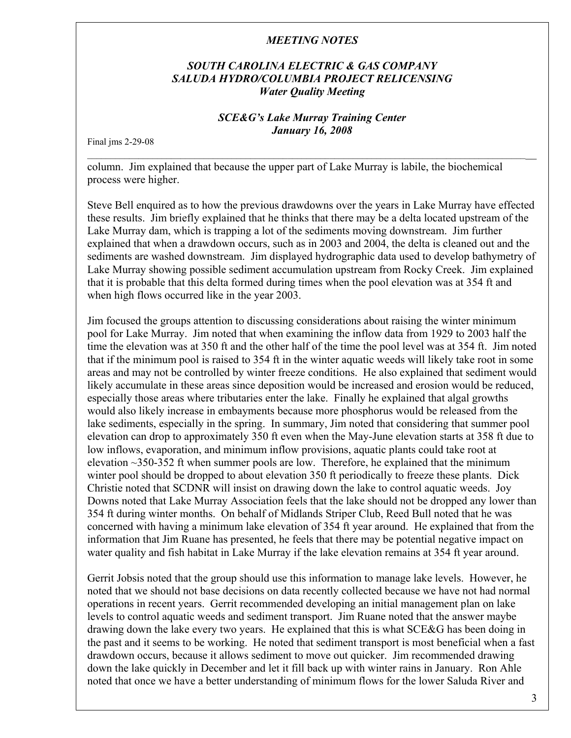### *SOUTH CAROLINA ELECTRIC & GAS COMPANY SALUDA HYDRO/COLUMBIA PROJECT RELICENSING Water Quality Meeting*

# *SCE&G's Lake Murray Training Center January 16, 2008*

\_\_\_\_\_\_\_\_\_\_\_\_\_\_\_\_\_\_\_\_\_\_\_\_\_\_\_\_\_\_\_\_\_\_\_\_\_\_\_\_\_\_\_\_\_\_\_\_\_\_\_\_\_\_\_\_\_\_\_\_\_\_\_\_\_\_\_\_\_\_\_\_\_\_\_\_\_\_\_\_\_\_\_\_\_\_\_\_\_\_\_\_\_\_\_\_

Final jms 2-29-08

column. Jim explained that because the upper part of Lake Murray is labile, the biochemical process were higher.

Steve Bell enquired as to how the previous drawdowns over the years in Lake Murray have effected these results. Jim briefly explained that he thinks that there may be a delta located upstream of the Lake Murray dam, which is trapping a lot of the sediments moving downstream. Jim further explained that when a drawdown occurs, such as in 2003 and 2004, the delta is cleaned out and the sediments are washed downstream. Jim displayed hydrographic data used to develop bathymetry of Lake Murray showing possible sediment accumulation upstream from Rocky Creek. Jim explained that it is probable that this delta formed during times when the pool elevation was at 354 ft and when high flows occurred like in the year 2003.

Jim focused the groups attention to discussing considerations about raising the winter minimum pool for Lake Murray. Jim noted that when examining the inflow data from 1929 to 2003 half the time the elevation was at 350 ft and the other half of the time the pool level was at 354 ft. Jim noted that if the minimum pool is raised to 354 ft in the winter aquatic weeds will likely take root in some areas and may not be controlled by winter freeze conditions. He also explained that sediment would likely accumulate in these areas since deposition would be increased and erosion would be reduced, especially those areas where tributaries enter the lake. Finally he explained that algal growths would also likely increase in embayments because more phosphorus would be released from the lake sediments, especially in the spring. In summary, Jim noted that considering that summer pool elevation can drop to approximately 350 ft even when the May-June elevation starts at 358 ft due to low inflows, evaporation, and minimum inflow provisions, aquatic plants could take root at elevation  $\sim$ 350-352 ft when summer pools are low. Therefore, he explained that the minimum winter pool should be dropped to about elevation 350 ft periodically to freeze these plants. Dick Christie noted that SCDNR will insist on drawing down the lake to control aquatic weeds. Joy Downs noted that Lake Murray Association feels that the lake should not be dropped any lower than 354 ft during winter months. On behalf of Midlands Striper Club, Reed Bull noted that he was concerned with having a minimum lake elevation of 354 ft year around. He explained that from the information that Jim Ruane has presented, he feels that there may be potential negative impact on water quality and fish habitat in Lake Murray if the lake elevation remains at 354 ft year around.

Gerrit Jobsis noted that the group should use this information to manage lake levels. However, he noted that we should not base decisions on data recently collected because we have not had normal operations in recent years. Gerrit recommended developing an initial management plan on lake levels to control aquatic weeds and sediment transport. Jim Ruane noted that the answer maybe drawing down the lake every two years. He explained that this is what SCE&G has been doing in the past and it seems to be working. He noted that sediment transport is most beneficial when a fast drawdown occurs, because it allows sediment to move out quicker. Jim recommended drawing down the lake quickly in December and let it fill back up with winter rains in January. Ron Ahle noted that once we have a better understanding of minimum flows for the lower Saluda River and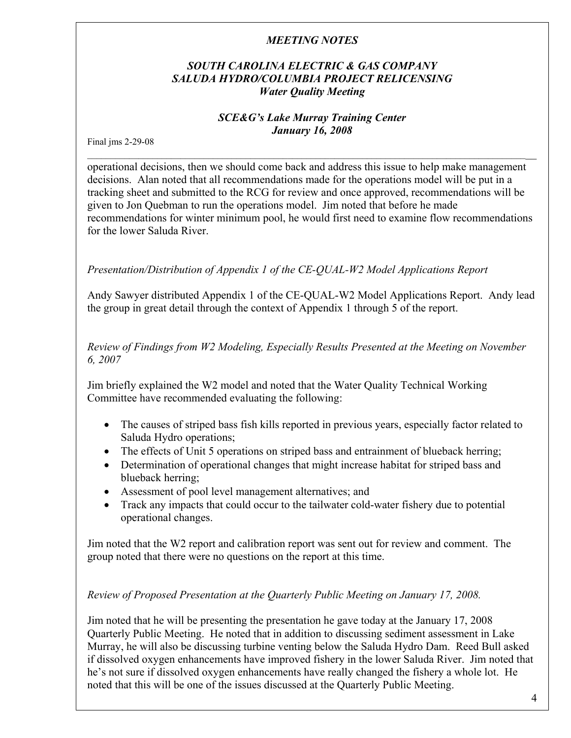# *SOUTH CAROLINA ELECTRIC & GAS COMPANY SALUDA HYDRO/COLUMBIA PROJECT RELICENSING Water Quality Meeting*

## *SCE&G's Lake Murray Training Center January 16, 2008*

\_\_\_\_\_\_\_\_\_\_\_\_\_\_\_\_\_\_\_\_\_\_\_\_\_\_\_\_\_\_\_\_\_\_\_\_\_\_\_\_\_\_\_\_\_\_\_\_\_\_\_\_\_\_\_\_\_\_\_\_\_\_\_\_\_\_\_\_\_\_\_\_\_\_\_\_\_\_\_\_\_\_\_\_\_\_\_\_\_\_\_\_\_\_\_\_

Final jms 2-29-08

operational decisions, then we should come back and address this issue to help make management decisions. Alan noted that all recommendations made for the operations model will be put in a tracking sheet and submitted to the RCG for review and once approved, recommendations will be given to Jon Quebman to run the operations model. Jim noted that before he made recommendations for winter minimum pool, he would first need to examine flow recommendations for the lower Saluda River.

# *Presentation/Distribution of Appendix 1 of the CE-QUAL-W2 Model Applications Report*

Andy Sawyer distributed Appendix 1 of the CE-QUAL-W2 Model Applications Report. Andy lead the group in great detail through the context of Appendix 1 through 5 of the report.

*Review of Findings from W2 Modeling, Especially Results Presented at the Meeting on November 6, 2007* 

Jim briefly explained the W2 model and noted that the Water Quality Technical Working Committee have recommended evaluating the following:

- The causes of striped bass fish kills reported in previous years, especially factor related to Saluda Hydro operations;
- The effects of Unit 5 operations on striped bass and entrainment of blueback herring;
- Determination of operational changes that might increase habitat for striped bass and blueback herring;
- Assessment of pool level management alternatives; and
- Track any impacts that could occur to the tailwater cold-water fishery due to potential operational changes.

Jim noted that the W2 report and calibration report was sent out for review and comment. The group noted that there were no questions on the report at this time.

# *Review of Proposed Presentation at the Quarterly Public Meeting on January 17, 2008.*

Jim noted that he will be presenting the presentation he gave today at the January 17, 2008 Quarterly Public Meeting. He noted that in addition to discussing sediment assessment in Lake Murray, he will also be discussing turbine venting below the Saluda Hydro Dam. Reed Bull asked if dissolved oxygen enhancements have improved fishery in the lower Saluda River. Jim noted that he's not sure if dissolved oxygen enhancements have really changed the fishery a whole lot. He noted that this will be one of the issues discussed at the Quarterly Public Meeting.